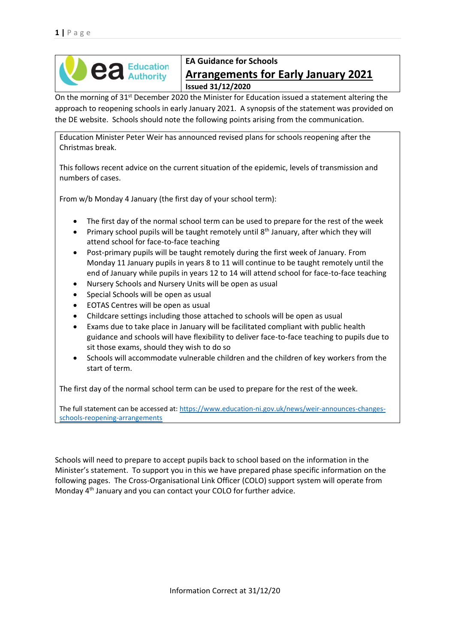

### **EA Guidance for Schools Arrangements for Early January 2021 Issued 31/12/2020**

On the morning of 31<sup>st</sup> December 2020 the Minister for Education issued a statement altering the approach to reopening schools in early January 2021. A synopsis of the statement was provided on the DE website. Schools should note the following points arising from the communication.

Education Minister Peter Weir has announced revised plans for schools reopening after the Christmas break.

This follows recent advice on the current situation of the epidemic, levels of transmission and numbers of cases.

From w/b Monday 4 January (the first day of your school term):

- The first day of the normal school term can be used to prepare for the rest of the week
- Primary school pupils will be taught remotely until 8<sup>th</sup> January, after which they will attend school for face-to-face teaching
- Post-primary pupils will be taught remotely during the first week of January. From Monday 11 January pupils in years 8 to 11 will continue to be taught remotely until the end of January while pupils in years 12 to 14 will attend school for face-to-face teaching
- Nursery Schools and Nursery Units will be open as usual
- Special Schools will be open as usual
- EOTAS Centres will be open as usual
- Childcare settings including those attached to schools will be open as usual
- Exams due to take place in January will be facilitated compliant with public health guidance and schools will have flexibility to deliver face-to-face teaching to pupils due to sit those exams, should they wish to do so
- Schools will accommodate vulnerable children and the children of key workers from the start of term.

The first day of the normal school term can be used to prepare for the rest of the week.

The full statement can be accessed at: [https://www.education-ni.gov.uk/news/weir-announces-changes](https://www.education-ni.gov.uk/news/weir-announces-changes-schools-reopening-arrangements)[schools-reopening-arrangements](https://www.education-ni.gov.uk/news/weir-announces-changes-schools-reopening-arrangements)

Schools will need to prepare to accept pupils back to school based on the information in the Minister's statement. To support you in this we have prepared phase specific information on the following pages. The Cross-Organisational Link Officer (COLO) support system will operate from Monday 4th January and you can contact your COLO for further advice.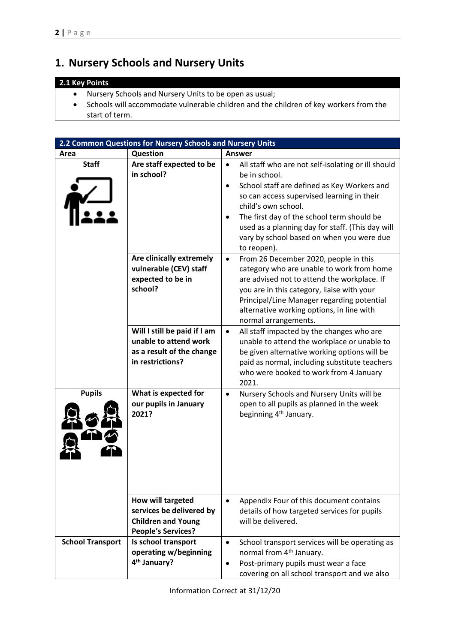## **1. Nursery Schools and Nursery Units**

### **2.1 Key Points**

- Nursery Schools and Nursery Units to be open as usual;
- Schools will accommodate vulnerable children and the children of key workers from the start of term.

|                         | 2.2 Common Questions for Nursery Schools and Nursery Units                                              |                                                                                                                                                                                                                                                                                                                                                                                              |
|-------------------------|---------------------------------------------------------------------------------------------------------|----------------------------------------------------------------------------------------------------------------------------------------------------------------------------------------------------------------------------------------------------------------------------------------------------------------------------------------------------------------------------------------------|
| Area                    | Question                                                                                                | <b>Answer</b>                                                                                                                                                                                                                                                                                                                                                                                |
| <b>Staff</b>            | Are staff expected to be<br>in school?                                                                  | All staff who are not self-isolating or ill should<br>$\bullet$<br>be in school.<br>School staff are defined as Key Workers and<br>$\bullet$<br>so can access supervised learning in their<br>child's own school.<br>The first day of the school term should be<br>$\bullet$<br>used as a planning day for staff. (This day will<br>vary by school based on when you were due<br>to reopen). |
|                         | Are clinically extremely<br>vulnerable (CEV) staff<br>expected to be in<br>school?                      | From 26 December 2020, people in this<br>$\bullet$<br>category who are unable to work from home<br>are advised not to attend the workplace. If<br>you are in this category, liaise with your<br>Principal/Line Manager regarding potential<br>alternative working options, in line with<br>normal arrangements.                                                                              |
|                         | Will I still be paid if I am<br>unable to attend work<br>as a result of the change<br>in restrictions?  | All staff impacted by the changes who are<br>$\bullet$<br>unable to attend the workplace or unable to<br>be given alternative working options will be<br>paid as normal, including substitute teachers<br>who were booked to work from 4 January<br>2021.                                                                                                                                    |
| <b>Pupils</b>           | What is expected for<br>our pupils in January<br>2021?                                                  | Nursery Schools and Nursery Units will be<br>$\bullet$<br>open to all pupils as planned in the week<br>beginning 4 <sup>th</sup> January.                                                                                                                                                                                                                                                    |
|                         | How will targeted<br>services be delivered by<br><b>Children and Young</b><br><b>People's Services?</b> | Appendix Four of this document contains<br>$\bullet$<br>details of how targeted services for pupils<br>will be delivered.                                                                                                                                                                                                                                                                    |
| <b>School Transport</b> | Is school transport<br>operating w/beginning<br>4 <sup>th</sup> January?                                | School transport services will be operating as<br>$\bullet$<br>normal from 4 <sup>th</sup> January.<br>Post-primary pupils must wear a face<br>$\bullet$<br>covering on all school transport and we also                                                                                                                                                                                     |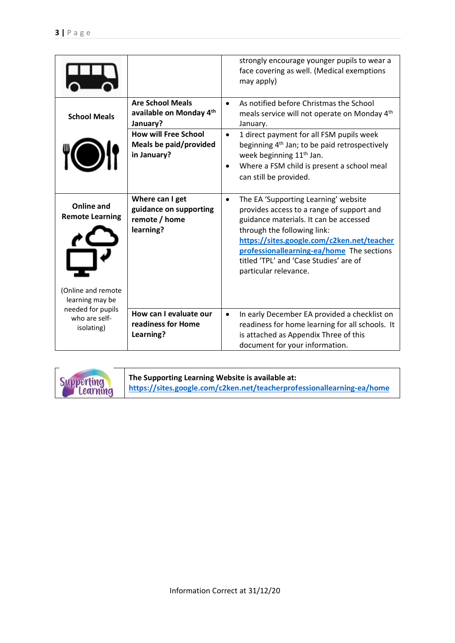|                                                  |                                                                         | strongly encourage younger pupils to wear a<br>face covering as well. (Medical exemptions<br>may apply)                                                                                                                                                                                                                               |
|--------------------------------------------------|-------------------------------------------------------------------------|---------------------------------------------------------------------------------------------------------------------------------------------------------------------------------------------------------------------------------------------------------------------------------------------------------------------------------------|
| <b>School Meals</b>                              | <b>Are School Meals</b><br>available on Monday 4th<br>January?          | As notified before Christmas the School<br>$\bullet$<br>meals service will not operate on Monday 4th<br>January.                                                                                                                                                                                                                      |
|                                                  | <b>How will Free School</b><br>Meals be paid/provided<br>in January?    | 1 direct payment for all FSM pupils week<br>$\bullet$<br>beginning 4 <sup>th</sup> Jan; to be paid retrospectively<br>week beginning 11 <sup>th</sup> Jan.<br>Where a FSM child is present a school meal<br>$\bullet$<br>can still be provided.                                                                                       |
| <b>Online and</b><br><b>Remote Learning</b>      | Where can I get<br>guidance on supporting<br>remote / home<br>learning? | The EA 'Supporting Learning' website<br>$\bullet$<br>provides access to a range of support and<br>guidance materials. It can be accessed<br>through the following link:<br>https://sites.google.com/c2ken.net/teacher<br>professionallearning-ea/home The sections<br>titled 'TPL' and 'Case Studies' are of<br>particular relevance. |
| (Online and remote<br>learning may be            |                                                                         |                                                                                                                                                                                                                                                                                                                                       |
| needed for pupils<br>who are self-<br>isolating) | How can I evaluate our<br>readiness for Home<br>Learning?               | In early December EA provided a checklist on<br>$\bullet$<br>readiness for home learning for all schools. It<br>is attached as Appendix Three of this<br>document for your information.                                                                                                                                               |

Supporting<br>Learning **The Supporting Learning Website is available at: <https://sites.google.com/c2ken.net/teacherprofessionallearning-ea/home>**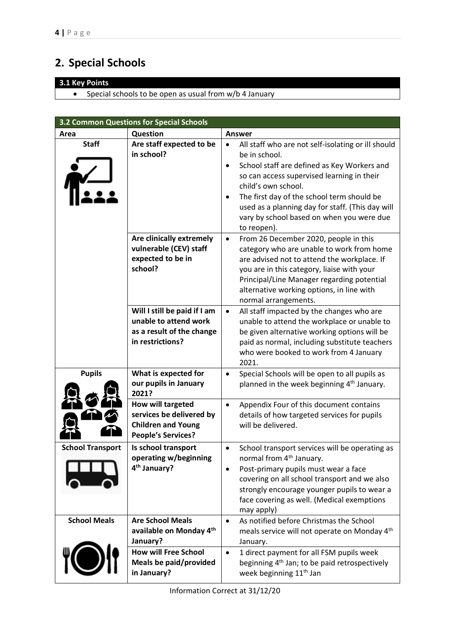# **2. Special Schools**

### **3.1 Key Points**

• Special schools to be open as usual from w/b 4 January

|                         | 3.2 Common Questions for Special Schools                                                                |                                                                                                                                                                                                                                                                                                                                                                                              |
|-------------------------|---------------------------------------------------------------------------------------------------------|----------------------------------------------------------------------------------------------------------------------------------------------------------------------------------------------------------------------------------------------------------------------------------------------------------------------------------------------------------------------------------------------|
| Area                    | Question                                                                                                | <b>Answer</b>                                                                                                                                                                                                                                                                                                                                                                                |
| <b>Staff</b>            | Are staff expected to be<br>in school?                                                                  | All staff who are not self-isolating or ill should<br>$\bullet$<br>be in school.<br>School staff are defined as Key Workers and<br>$\bullet$<br>so can access supervised learning in their<br>child's own school.<br>The first day of the school term should be<br>$\bullet$<br>used as a planning day for staff. (This day will<br>vary by school based on when you were due<br>to reopen). |
|                         | Are clinically extremely<br>vulnerable (CEV) staff<br>expected to be in<br>school?                      | From 26 December 2020, people in this<br>$\bullet$<br>category who are unable to work from home<br>are advised not to attend the workplace. If<br>you are in this category, liaise with your<br>Principal/Line Manager regarding potential<br>alternative working options, in line with<br>normal arrangements.                                                                              |
|                         | Will I still be paid if I am<br>unable to attend work<br>as a result of the change<br>in restrictions?  | All staff impacted by the changes who are<br>$\bullet$<br>unable to attend the workplace or unable to<br>be given alternative working options will be<br>paid as normal, including substitute teachers<br>who were booked to work from 4 January<br>2021.                                                                                                                                    |
| <b>Pupils</b>           | What is expected for<br>our pupils in January<br>2021?                                                  | Special Schools will be open to all pupils as<br>$\bullet$<br>planned in the week beginning 4 <sup>th</sup> January.                                                                                                                                                                                                                                                                         |
|                         | How will targeted<br>services be delivered by<br><b>Children and Young</b><br><b>People's Services?</b> | Appendix Four of this document contains<br>$\bullet$<br>details of how targeted services for pupils<br>will be delivered.                                                                                                                                                                                                                                                                    |
| <b>School Transport</b> | Is school transport<br>operating w/beginning<br>4 <sup>th</sup> January?                                | School transport services will be operating as<br>$\bullet$<br>normal from 4 <sup>th</sup> January.<br>Post-primary pupils must wear a face<br>covering on all school transport and we also<br>strongly encourage younger pupils to wear a<br>face covering as well. (Medical exemptions<br>may apply)                                                                                       |
| <b>School Meals</b>     | <b>Are School Meals</b><br>available on Monday 4th<br>January?                                          | As notified before Christmas the School<br>$\bullet$<br>meals service will not operate on Monday 4th<br>January.                                                                                                                                                                                                                                                                             |
|                         | <b>How will Free School</b><br>Meals be paid/provided<br>in January?                                    | 1 direct payment for all FSM pupils week<br>$\bullet$<br>beginning 4 <sup>th</sup> Jan; to be paid retrospectively<br>week beginning 11 <sup>th</sup> Jan                                                                                                                                                                                                                                    |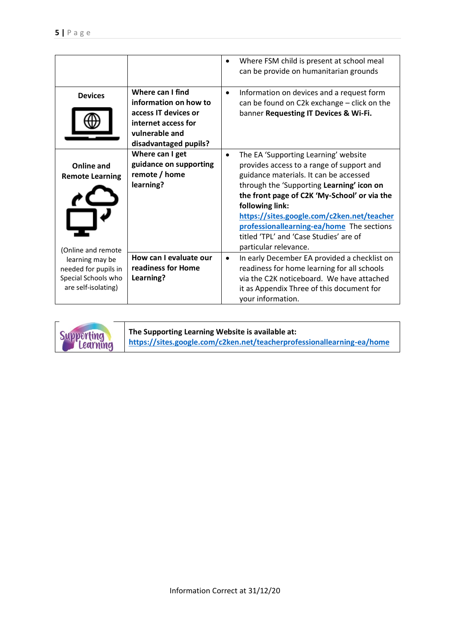|                                                                                       |                                                                                                                                     | Where FSM child is present at school meal<br>$\bullet$<br>can be provide on humanitarian grounds                                                                                                                                                                                                                                                                                                                       |
|---------------------------------------------------------------------------------------|-------------------------------------------------------------------------------------------------------------------------------------|------------------------------------------------------------------------------------------------------------------------------------------------------------------------------------------------------------------------------------------------------------------------------------------------------------------------------------------------------------------------------------------------------------------------|
| <b>Devices</b>                                                                        | Where can I find<br>information on how to<br>access IT devices or<br>internet access for<br>vulnerable and<br>disadvantaged pupils? | Information on devices and a request form<br>$\bullet$<br>can be found on C2k exchange - click on the<br>banner Requesting IT Devices & Wi-Fi.                                                                                                                                                                                                                                                                         |
| Online and<br><b>Remote Learning</b><br>(Online and remote                            | Where can I get<br>guidance on supporting<br>remote / home<br>learning?                                                             | The EA 'Supporting Learning' website<br>$\bullet$<br>provides access to a range of support and<br>guidance materials. It can be accessed<br>through the 'Supporting Learning' icon on<br>the front page of C2K 'My-School' or via the<br>following link:<br>https://sites.google.com/c2ken.net/teacher<br>professionallearning-ea/home The sections<br>titled 'TPL' and 'Case Studies' are of<br>particular relevance. |
| learning may be<br>needed for pupils in<br>Special Schools who<br>are self-isolating) | How can I evaluate our<br>readiness for Home<br>Learning?                                                                           | In early December EA provided a checklist on<br>$\bullet$<br>readiness for home learning for all schools<br>via the C2K noticeboard. We have attached<br>it as Appendix Three of this document for<br>your information.                                                                                                                                                                                                |



**The Supporting Learning Website is available at: <https://sites.google.com/c2ken.net/teacherprofessionallearning-ea/home>**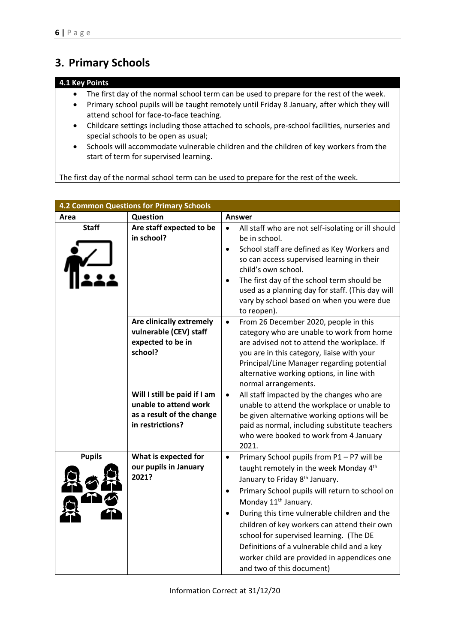# **3. Primary Schools**

### **4.1 Key Points**

- The first day of the normal school term can be used to prepare for the rest of the week.
- Primary school pupils will be taught remotely until Friday 8 January, after which they will attend school for face-to-face teaching.
- Childcare settings including those attached to schools, pre-school facilities, nurseries and special schools to be open as usual;
- Schools will accommodate vulnerable children and the children of key workers from the start of term for supervised learning.

The first day of the normal school term can be used to prepare for the rest of the week.

|               | <b>4.2 Common Questions for Primary Schools</b>                                                        |                                                                                                                                                                                                                                                                                                                                                                                                                                                                                                                                       |
|---------------|--------------------------------------------------------------------------------------------------------|---------------------------------------------------------------------------------------------------------------------------------------------------------------------------------------------------------------------------------------------------------------------------------------------------------------------------------------------------------------------------------------------------------------------------------------------------------------------------------------------------------------------------------------|
| Area          | Question                                                                                               | Answer                                                                                                                                                                                                                                                                                                                                                                                                                                                                                                                                |
| <b>Staff</b>  | Are staff expected to be<br>in school?                                                                 | All staff who are not self-isolating or ill should<br>$\bullet$<br>be in school.<br>School staff are defined as Key Workers and<br>$\bullet$<br>so can access supervised learning in their<br>child's own school.<br>The first day of the school term should be<br>$\bullet$<br>used as a planning day for staff. (This day will<br>vary by school based on when you were due<br>to reopen).                                                                                                                                          |
|               | Are clinically extremely<br>vulnerable (CEV) staff<br>expected to be in<br>school?                     | From 26 December 2020, people in this<br>$\bullet$<br>category who are unable to work from home<br>are advised not to attend the workplace. If<br>you are in this category, liaise with your<br>Principal/Line Manager regarding potential<br>alternative working options, in line with<br>normal arrangements.                                                                                                                                                                                                                       |
|               | Will I still be paid if I am<br>unable to attend work<br>as a result of the change<br>in restrictions? | All staff impacted by the changes who are<br>$\bullet$<br>unable to attend the workplace or unable to<br>be given alternative working options will be<br>paid as normal, including substitute teachers<br>who were booked to work from 4 January<br>2021.                                                                                                                                                                                                                                                                             |
| <b>Pupils</b> | What is expected for<br>our pupils in January<br>2021?                                                 | Primary School pupils from P1 - P7 will be<br>$\bullet$<br>taught remotely in the week Monday 4th<br>January to Friday 8 <sup>th</sup> January.<br>Primary School pupils will return to school on<br>$\bullet$<br>Monday 11 <sup>th</sup> January.<br>During this time vulnerable children and the<br>$\bullet$<br>children of key workers can attend their own<br>school for supervised learning. (The DE<br>Definitions of a vulnerable child and a key<br>worker child are provided in appendices one<br>and two of this document) |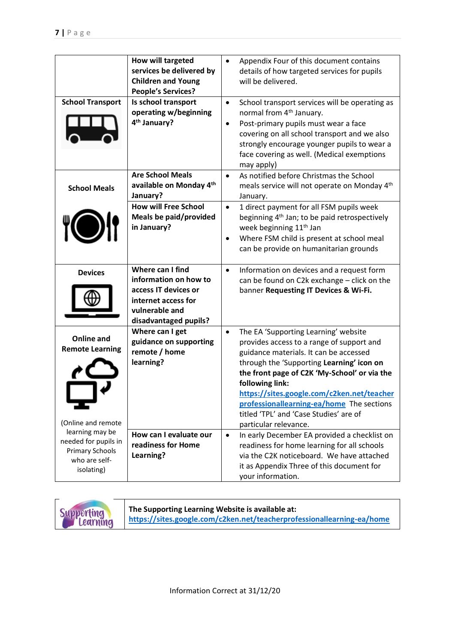|                                                                                                                        | How will targeted<br>services be delivered by<br><b>Children and Young</b><br><b>People's Services?</b>                             | Appendix Four of this document contains<br>$\bullet$<br>details of how targeted services for pupils<br>will be delivered.                                                                                                                                                                                                                                                                     |
|------------------------------------------------------------------------------------------------------------------------|-------------------------------------------------------------------------------------------------------------------------------------|-----------------------------------------------------------------------------------------------------------------------------------------------------------------------------------------------------------------------------------------------------------------------------------------------------------------------------------------------------------------------------------------------|
| <b>School Transport</b>                                                                                                | Is school transport<br>operating w/beginning<br>4 <sup>th</sup> January?                                                            | School transport services will be operating as<br>$\bullet$<br>normal from 4 <sup>th</sup> January.<br>Post-primary pupils must wear a face<br>$\bullet$<br>covering on all school transport and we also<br>strongly encourage younger pupils to wear a<br>face covering as well. (Medical exemptions<br>may apply)                                                                           |
| <b>School Meals</b>                                                                                                    | <b>Are School Meals</b><br>available on Monday 4th<br>January?                                                                      | As notified before Christmas the School<br>$\bullet$<br>meals service will not operate on Monday 4th<br>January.                                                                                                                                                                                                                                                                              |
|                                                                                                                        | <b>How will Free School</b><br>Meals be paid/provided<br>in January?                                                                | 1 direct payment for all FSM pupils week<br>$\bullet$<br>beginning 4 <sup>th</sup> Jan; to be paid retrospectively<br>week beginning 11 <sup>th</sup> Jan<br>Where FSM child is present at school meal<br>$\bullet$<br>can be provide on humanitarian grounds                                                                                                                                 |
| <b>Devices</b>                                                                                                         | Where can I find<br>information on how to<br>access IT devices or<br>internet access for<br>vulnerable and<br>disadvantaged pupils? | Information on devices and a request form<br>$\bullet$<br>can be found on C2k exchange - click on the<br>banner Requesting IT Devices & Wi-Fi.                                                                                                                                                                                                                                                |
| <b>Online and</b><br><b>Remote Learning</b>                                                                            | Where can I get<br>guidance on supporting<br>remote / home<br>learning?                                                             | The EA 'Supporting Learning' website<br>$\bullet$<br>provides access to a range of support and<br>guidance materials. It can be accessed<br>through the 'Supporting Learning' icon on<br>the front page of C2K 'My-School' or via the<br>following link:<br>https://sites.google.com/c2ken.net/teacher<br>professionallearning-ea/home The sections<br>titled 'TPL' and 'Case Studies' are of |
| (Online and remote<br>learning may be<br>needed for pupils in<br><b>Primary Schools</b><br>who are self-<br>isolating) | How can I evaluate our<br>readiness for Home<br>Learning?                                                                           | particular relevance.<br>In early December EA provided a checklist on<br>$\bullet$<br>readiness for home learning for all schools<br>via the C2K noticeboard. We have attached<br>it as Appendix Three of this document for<br>your information.                                                                                                                                              |

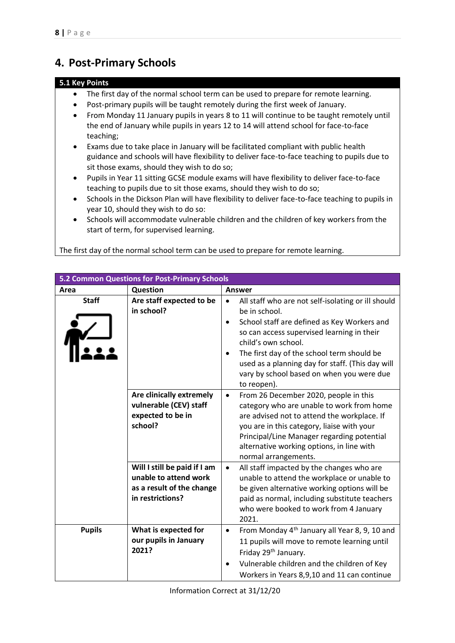### **4. Post-Primary Schools**

### **5.1 Key Points**

- The first day of the normal school term can be used to prepare for remote learning.
- Post-primary pupils will be taught remotely during the first week of January.
- From Monday 11 January pupils in years 8 to 11 will continue to be taught remotely until the end of January while pupils in years 12 to 14 will attend school for face-to-face teaching;
- Exams due to take place in January will be facilitated compliant with public health guidance and schools will have flexibility to deliver face-to-face teaching to pupils due to sit those exams, should they wish to do so;
- Pupils in Year 11 sitting GCSE module exams will have flexibility to deliver face-to-face teaching to pupils due to sit those exams, should they wish to do so;
- Schools in the Dickson Plan will have flexibility to deliver face-to-face teaching to pupils in year 10, should they wish to do so:
- Schools will accommodate vulnerable children and the children of key workers from the start of term, for supervised learning.

The first day of the normal school term can be used to prepare for remote learning.

|               | 5.2 Common Questions for Post-Primary Schools                                                          |                                                                                                                                                                                                                                                                                                                                                                                              |
|---------------|--------------------------------------------------------------------------------------------------------|----------------------------------------------------------------------------------------------------------------------------------------------------------------------------------------------------------------------------------------------------------------------------------------------------------------------------------------------------------------------------------------------|
| Area          | Question                                                                                               | <b>Answer</b>                                                                                                                                                                                                                                                                                                                                                                                |
| <b>Staff</b>  | Are staff expected to be<br>in school?                                                                 | All staff who are not self-isolating or ill should<br>$\bullet$<br>be in school.<br>School staff are defined as Key Workers and<br>$\bullet$<br>so can access supervised learning in their<br>child's own school.<br>The first day of the school term should be<br>$\bullet$<br>used as a planning day for staff. (This day will<br>vary by school based on when you were due<br>to reopen). |
|               | Are clinically extremely<br>vulnerable (CEV) staff<br>expected to be in<br>school?                     | From 26 December 2020, people in this<br>$\bullet$<br>category who are unable to work from home<br>are advised not to attend the workplace. If<br>you are in this category, liaise with your<br>Principal/Line Manager regarding potential<br>alternative working options, in line with<br>normal arrangements.                                                                              |
|               | Will I still be paid if I am<br>unable to attend work<br>as a result of the change<br>in restrictions? | All staff impacted by the changes who are<br>$\bullet$<br>unable to attend the workplace or unable to<br>be given alternative working options will be<br>paid as normal, including substitute teachers<br>who were booked to work from 4 January<br>2021.                                                                                                                                    |
| <b>Pupils</b> | What is expected for<br>our pupils in January<br>2021?                                                 | From Monday 4 <sup>th</sup> January all Year 8, 9, 10 and<br>$\bullet$<br>11 pupils will move to remote learning until<br>Friday 29th January.<br>Vulnerable children and the children of Key<br>٠<br>Workers in Years 8,9,10 and 11 can continue                                                                                                                                            |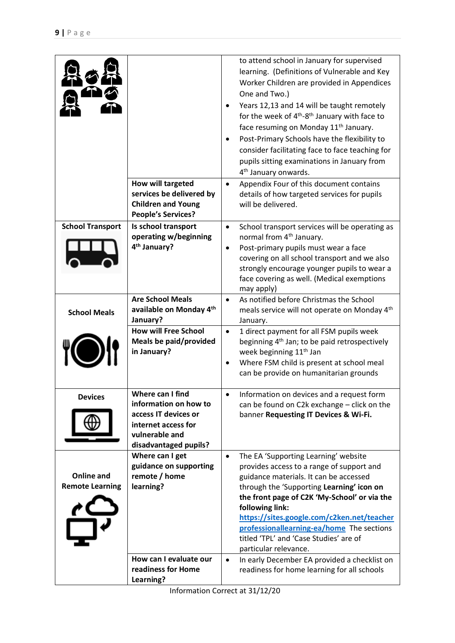|                                             | How will targeted                                                                                                                   | to attend school in January for supervised<br>learning. (Definitions of Vulnerable and Key<br>Worker Children are provided in Appendices<br>One and Two.)<br>Years 12,13 and 14 will be taught remotely<br>$\bullet$<br>for the week of 4 <sup>th</sup> -8 <sup>th</sup> January with face to<br>face resuming on Monday 11 <sup>th</sup> January.<br>Post-Primary Schools have the flexibility to<br>$\bullet$<br>consider facilitating face to face teaching for<br>pupils sitting examinations in January from<br>4 <sup>th</sup> January onwards.<br>$\bullet$ |
|---------------------------------------------|-------------------------------------------------------------------------------------------------------------------------------------|--------------------------------------------------------------------------------------------------------------------------------------------------------------------------------------------------------------------------------------------------------------------------------------------------------------------------------------------------------------------------------------------------------------------------------------------------------------------------------------------------------------------------------------------------------------------|
|                                             | services be delivered by<br><b>Children and Young</b><br><b>People's Services?</b>                                                  | Appendix Four of this document contains<br>details of how targeted services for pupils<br>will be delivered.                                                                                                                                                                                                                                                                                                                                                                                                                                                       |
| <b>School Transport</b>                     | Is school transport<br>operating w/beginning<br>4 <sup>th</sup> January?                                                            | School transport services will be operating as<br>$\bullet$<br>normal from 4 <sup>th</sup> January.<br>Post-primary pupils must wear a face<br>$\bullet$<br>covering on all school transport and we also<br>strongly encourage younger pupils to wear a<br>face covering as well. (Medical exemptions<br>may apply)                                                                                                                                                                                                                                                |
| <b>School Meals</b>                         | <b>Are School Meals</b><br>available on Monday 4th<br>January?                                                                      | As notified before Christmas the School<br>$\bullet$<br>meals service will not operate on Monday 4 <sup>th</sup><br>January.                                                                                                                                                                                                                                                                                                                                                                                                                                       |
|                                             | <b>How will Free School</b><br>Meals be paid/provided<br>in January?                                                                | 1 direct payment for all FSM pupils week<br>$\bullet$<br>beginning 4 <sup>th</sup> Jan; to be paid retrospectively<br>week beginning 11 <sup>th</sup> Jan<br>Where FSM child is present at school meal<br>$\bullet$<br>can be provide on humanitarian grounds                                                                                                                                                                                                                                                                                                      |
| <b>Devices</b>                              | Where can I find<br>information on how to<br>access IT devices or<br>internet access for<br>vulnerable and<br>disadvantaged pupils? | Information on devices and a request form<br>can be found on C2k exchange - click on the<br>banner Requesting IT Devices & Wi-Fi.                                                                                                                                                                                                                                                                                                                                                                                                                                  |
| <b>Online and</b><br><b>Remote Learning</b> | Where can I get<br>guidance on supporting<br>remote / home<br>learning?                                                             | The EA 'Supporting Learning' website<br>$\bullet$<br>provides access to a range of support and<br>guidance materials. It can be accessed<br>through the 'Supporting Learning' icon on<br>the front page of C2K 'My-School' or via the<br>following link:<br>https://sites.google.com/c2ken.net/teacher<br>professionallearning-ea/home The sections<br>titled 'TPL' and 'Case Studies' are of<br>particular relevance.                                                                                                                                             |
|                                             | How can I evaluate our<br>readiness for Home<br>Learning?                                                                           | In early December EA provided a checklist on<br>$\bullet$<br>readiness for home learning for all schools                                                                                                                                                                                                                                                                                                                                                                                                                                                           |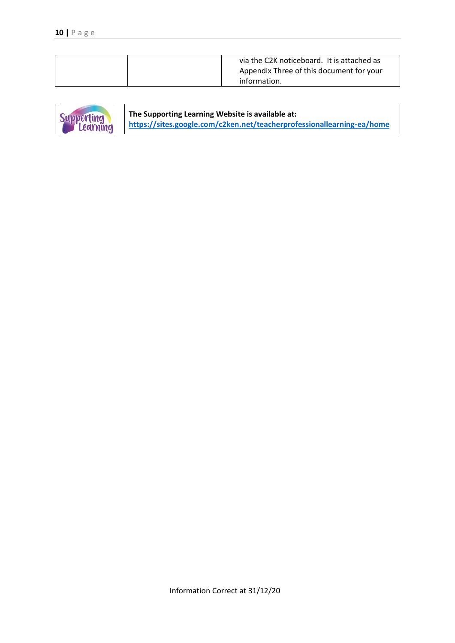| via the C2K noticeboard. It is attached as               |
|----------------------------------------------------------|
| Appendix Three of this document for your<br>information. |



**The Supporting Learning Website is available at: <https://sites.google.com/c2ken.net/teacherprofessionallearning-ea/home>**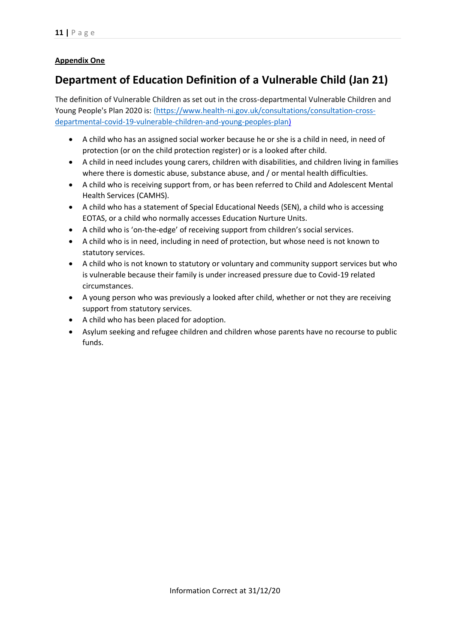### **Appendix One**

## **Department of Education Definition of a Vulnerable Child (Jan 21)**

The definition of Vulnerable Children as set out in the cross-departmental Vulnerable Children and Young People's Plan 2020 is: [\(https://www.health-ni.gov.uk/consultations/consultation-cross](https://www.health-ni.gov.uk/consultations/consultation-cross-departmental-covid-19-vulnerable-children-and-young-peoples-plan)[departmental-covid-19-vulnerable-children-and-young-peoples-plan\)](https://www.health-ni.gov.uk/consultations/consultation-cross-departmental-covid-19-vulnerable-children-and-young-peoples-plan)

- A child who has an assigned social worker because he or she is a child in need, in need of protection (or on the child protection register) or is a looked after child.
- A child in need includes young carers, children with disabilities, and children living in families where there is domestic abuse, substance abuse, and / or mental health difficulties.
- A child who is receiving support from, or has been referred to Child and Adolescent Mental Health Services (CAMHS).
- A child who has a statement of Special Educational Needs (SEN), a child who is accessing EOTAS, or a child who normally accesses Education Nurture Units.
- A child who is 'on-the-edge' of receiving support from children's social services.
- A child who is in need, including in need of protection, but whose need is not known to statutory services.
- A child who is not known to statutory or voluntary and community support services but who is vulnerable because their family is under increased pressure due to Covid-19 related circumstances.
- A young person who was previously a looked after child, whether or not they are receiving support from statutory services.
- A child who has been placed for adoption.
- Asylum seeking and refugee children and children whose parents have no recourse to public funds.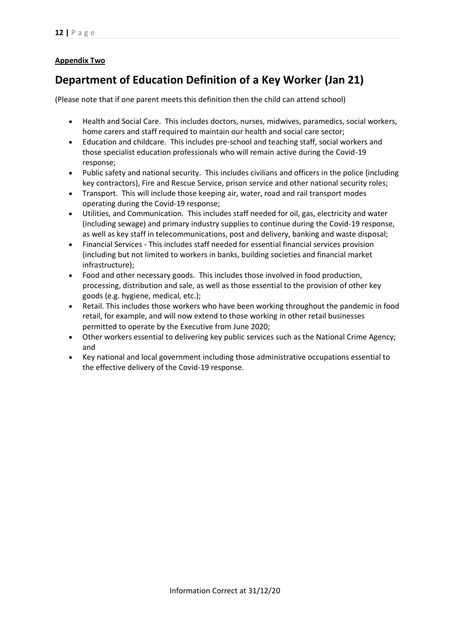### **Appendix Two**

## **Department of Education Definition of a Key Worker (Jan 21)**

(Please note that if one parent meets this definition then the child can attend school)

- Health and Social Care. This includes doctors, nurses, midwives, paramedics, social workers, home carers and staff required to maintain our health and social care sector;
- Education and childcare. This includes pre-school and teaching staff, social workers and those specialist education professionals who will remain active during the Covid-19 response;
- Public safety and national security. This includes civilians and officers in the police (including key contractors), Fire and Rescue Service, prison service and other national security roles;
- Transport. This will include those keeping air, water, road and rail transport modes operating during the Covid-19 response;
- Utilities, and Communication. This includes staff needed for oil, gas, electricity and water (including sewage) and primary industry supplies to continue during the Covid-19 response, as well as key staff in telecommunications, post and delivery, banking and waste disposal;
- Financial Services This includes staff needed for essential financial services provision (including but not limited to workers in banks, building societies and financial market infrastructure);
- Food and other necessary goods. This includes those involved in food production, processing, distribution and sale, as well as those essential to the provision of other key goods (e.g. hygiene, medical, etc.);
- Retail. This includes those workers who have been working throughout the pandemic in food retail, for example, and will now extend to those working in other retail businesses permitted to operate by the Executive from June 2020;
- Other workers essential to delivering key public services such as the National Crime Agency; and
- Key national and local government including those administrative occupations essential to the effective delivery of the Covid-19 response.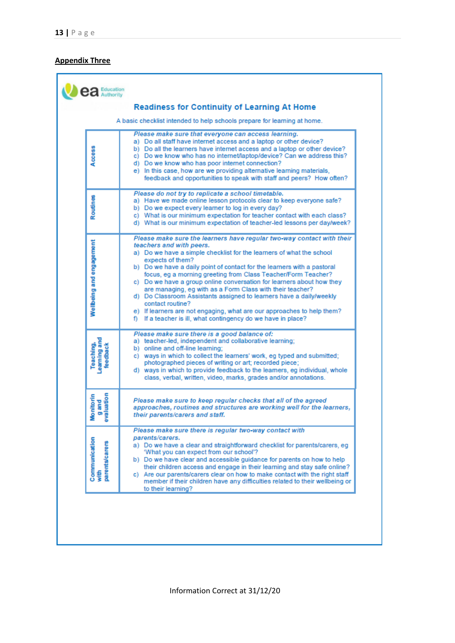#### **Appendix Three**

|                                                    | A basic checklist intended to help schools prepare for learning at home.                                                                                                                                                                                                                                                                                                                                                                                                                                                                                                                                                                                                                                              |
|----------------------------------------------------|-----------------------------------------------------------------------------------------------------------------------------------------------------------------------------------------------------------------------------------------------------------------------------------------------------------------------------------------------------------------------------------------------------------------------------------------------------------------------------------------------------------------------------------------------------------------------------------------------------------------------------------------------------------------------------------------------------------------------|
| Access                                             | Please make sure that everyone can access learning.<br>a) Do all staff have internet access and a laptop or other device?<br>b) Do all the learners have internet access and a laptop or other device?<br>c) Do we know who has no internet/laptop/device? Can we address this?<br>d) Do we know who has poor internet connection?<br>e) In this case, how are we providing alternative learning materials,<br>feedback and opportunities to speak with staff and peers? How often?                                                                                                                                                                                                                                   |
| Routines                                           | Please do not try to replicate a school timetable.<br>a) Have we made online lesson protocols clear to keep everyone safe?<br>b) Do we expect every learner to log in every day?<br>c) What is our minimum expectation for teacher contact with each class?<br>d) What is our minimum expectation of teacher-led lessons per day/week?                                                                                                                                                                                                                                                                                                                                                                                |
| Wellbeing and engagement                           | Please make sure the learners have regular two-way contact with their<br>teachers and with peers.<br>a) Do we have a simple checklist for the learners of what the school<br>expects of them?<br>b) Do we have a daily point of contact for the learners with a pastoral<br>focus, eq a morning greeting from Class Teacher/Form Teacher?<br>c) Do we have a group online conversation for learners about how they<br>are managing, eg with as a Form Class with their teacher?<br>d) Do Classroom Assistants assigned to learners have a daily/weekly<br>contact routine?<br>e) If learners are not engaging, what are our approaches to help them?<br>f) If a teacher is ill, what contingency do we have in place? |
| earning and<br>Teaching,<br>feedback               | Please make sure there is a good balance of:<br>a) teacher-led, independent and collaborative learning;<br>b) online and off-line learning:<br>c) ways in which to collect the learners' work, eg typed and submitted;<br>photographed pieces of writing or art; recorded piece;<br>d) ways in which to provide feedback to the learners, eq individual, whole<br>class, verbal, written, video, marks, grades and/or annotations.                                                                                                                                                                                                                                                                                    |
| raluation<br><b>Aonitorin</b><br>g and             | Please make sure to keep regular checks that all of the agreed<br>approaches, routines and structures are working well for the learners,<br>their parents/carers and staff.                                                                                                                                                                                                                                                                                                                                                                                                                                                                                                                                           |
| Communication<br><b>arents/carers</b><br>with<br>S | Please make sure there is regular two-way contact with<br>parents/carers.<br>a) Do we have a clear and straightforward checklist for parents/carers, eq.<br>'What you can expect from our school'?<br>b) Do we have clear and accessible guidance for parents on how to help<br>their children access and engage in their learning and stay safe online?<br>c) Are our parents/carers clear on how to make contact with the right staff<br>member if their children have any difficulties related to their wellbeing or<br>to their learning?                                                                                                                                                                         |